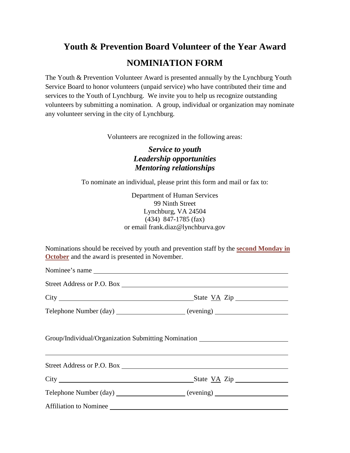## **Youth & Prevention Board Volunteer of the Year Award NOMINIATION FORM**

The Youth & Prevention Volunteer Award is presented annually by the Lynchburg Youth Service Board to honor volunteers (unpaid service) who have contributed their time and services to the Youth of Lynchburg. We invite you to help us recognize outstanding volunteers by submitting a nomination. A group, individual or organization may nominate any volunteer serving in the city of Lynchburg.

Volunteers are recognized in the following areas:

## *Service to youth Leadership opportunities Mentoring relationships*

To nominate an individual, please print this form and mail or fax to:

Department of Human Services 99 Ninth Street Lynchburg, VA 24504 (434) 847-1785 (fax) or email frank.diaz@lynchburva.gov

Nominations should be received by youth and prevention staff by the **second Monday in October** and the award is presented in November.

| Nominee's name         |                                                                                  |
|------------------------|----------------------------------------------------------------------------------|
|                        |                                                                                  |
|                        |                                                                                  |
|                        |                                                                                  |
|                        | Group/Individual/Organization Submitting Nomination ____________________________ |
|                        |                                                                                  |
|                        |                                                                                  |
|                        | Telephone Number (day) _____________________ (evening) _________________________ |
| Affiliation to Nominee |                                                                                  |